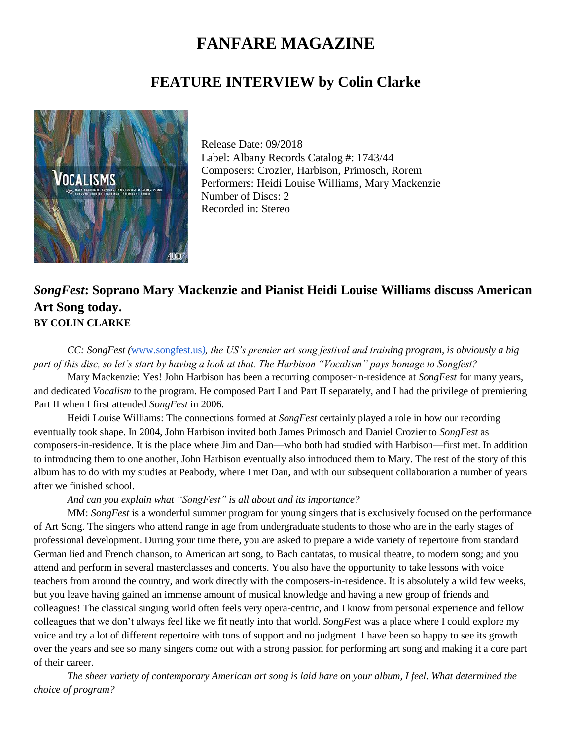# **FANFARE MAGAZINE**

## **FEATURE INTERVIEW by Colin Clarke**



Release Date: 09/2018 Label: Albany Records Catalog #: 1743/44 Composers: Crozier, Harbison, Primosch, Rorem Performers: Heidi Louise Williams, Mary Mackenzie Number of Discs: 2 Recorded in: Stereo

### *SongFest***: Soprano Mary Mackenzie and Pianist Heidi Louise Williams discuss American Art Song today. BY COLIN CLARKE**

*CC: SongFest (*[www.songfest.us](about:blank)*[\),](about:blank) the US's premier art song festival and training program, is obviously a big part of this disc, so let's start by having a look at that. The Harbison "Vocalism" pays homage to Songfest?*

Mary Mackenzie: Yes! John Harbison has been a recurring composer-in-residence at *SongFest* for many years, and dedicated *Vocalism* to the program. He composed Part I and Part II separately, and I had the privilege of premiering Part II when I first attended *SongFest* in 2006.

Heidi Louise Williams: The connections formed at *SongFest* certainly played a role in how our recording eventually took shape. In 2004, John Harbison invited both James Primosch and Daniel Crozier to *SongFest* as composers-in-residence. It is the place where Jim and Dan—who both had studied with Harbison—first met. In addition to introducing them to one another, John Harbison eventually also introduced them to Mary. The rest of the story of this album has to do with my studies at Peabody, where I met Dan, and with our subsequent collaboration a number of years after we finished school.

#### *And can you explain what "SongFest" is all about and its importance?*

MM: *SongFest* is a wonderful summer program for young singers that is exclusively focused on the performance of Art Song. The singers who attend range in age from undergraduate students to those who are in the early stages of professional development. During your time there, you are asked to prepare a wide variety of repertoire from standard German lied and French chanson, to American art song, to Bach cantatas, to musical theatre, to modern song; and you attend and perform in several masterclasses and concerts. You also have the opportunity to take lessons with voice teachers from around the country, and work directly with the composers-in-residence. It is absolutely a wild few weeks, but you leave having gained an immense amount of musical knowledge and having a new group of friends and colleagues! The classical singing world often feels very opera-centric, and I know from personal experience and fellow colleagues that we don't always feel like we fit neatly into that world. *SongFest* was a place where I could explore my voice and try a lot of different repertoire with tons of support and no judgment. I have been so happy to see its growth over the years and see so many singers come out with a strong passion for performing art song and making it a core part of their career.

*The sheer variety of contemporary American art song is laid bare on your album, I feel. What determined the choice of program?*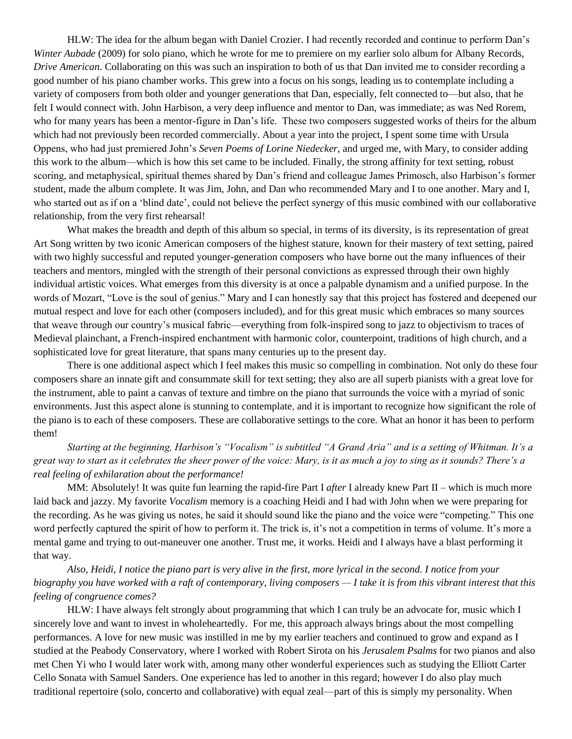HLW: The idea for the album began with Daniel Crozier. I had recently recorded and continue to perform Dan's *Winter Aubade* (2009) for solo piano, which he wrote for me to premiere on my earlier solo album for Albany Records, *Drive American*. Collaborating on this was such an inspiration to both of us that Dan invited me to consider recording a good number of his piano chamber works. This grew into a focus on his songs, leading us to contemplate including a variety of composers from both older and younger generations that Dan, especially, felt connected to—but also, that he felt I would connect with. John Harbison, a very deep influence and mentor to Dan, was immediate; as was Ned Rorem, who for many years has been a mentor-figure in Dan's life. These two composers suggested works of theirs for the album which had not previously been recorded commercially. About a year into the project, I spent some time with Ursula Oppens, who had just premiered John's *Seven Poems of Lorine Niedecker*, and urged me, with Mary, to consider adding this work to the album—which is how this set came to be included. Finally, the strong affinity for text setting, robust scoring, and metaphysical, spiritual themes shared by Dan's friend and colleague James Primosch, also Harbison's former student, made the album complete. It was Jim, John, and Dan who recommended Mary and I to one another. Mary and I, who started out as if on a 'blind date', could not believe the perfect synergy of this music combined with our collaborative relationship, from the very first rehearsal!

What makes the breadth and depth of this album so special, in terms of its diversity, is its representation of great Art Song written by two iconic American composers of the highest stature, known for their mastery of text setting, paired with two highly successful and reputed younger-generation composers who have borne out the many influences of their teachers and mentors, mingled with the strength of their personal convictions as expressed through their own highly individual artistic voices. What emerges from this diversity is at once a palpable dynamism and a unified purpose. In the words of Mozart, "Love is the soul of genius." Mary and I can honestly say that this project has fostered and deepened our mutual respect and love for each other (composers included), and for this great music which embraces so many sources that weave through our country's musical fabric—everything from folk-inspired song to jazz to objectivism to traces of Medieval plainchant, a French-inspired enchantment with harmonic color, counterpoint, traditions of high church, and a sophisticated love for great literature, that spans many centuries up to the present day.

There is one additional aspect which I feel makes this music so compelling in combination. Not only do these four composers share an innate gift and consummate skill for text setting; they also are all superb pianists with a great love for the instrument, able to paint a canvas of texture and timbre on the piano that surrounds the voice with a myriad of sonic environments. Just this aspect alone is stunning to contemplate, and it is important to recognize how significant the role of the piano is to each of these composers. These are collaborative settings to the core. What an honor it has been to perform them!

*Starting at the beginning, Harbison's "Vocalism" is subtitled "A Grand Aria" and is a setting of Whitman. It's a great way to start as it celebrates the sheer power of the voice: Mary, is it as much a joy to sing as it sounds? There's a real feeling of exhilaration about the performance!*

MM: Absolutely! It was quite fun learning the rapid-fire Part I *after* I already knew Part II – which is much more laid back and jazzy. My favorite *Vocalism* memory is a coaching Heidi and I had with John when we were preparing for the recording. As he was giving us notes, he said it should sound like the piano and the voice were "competing." This one word perfectly captured the spirit of how to perform it. The trick is, it's not a competition in terms of volume. It's more a mental game and trying to out-maneuver one another. Trust me, it works. Heidi and I always have a blast performing it that way.

*Also, Heidi, I notice the piano part is very alive in the first, more lyrical in the second. I notice from your biography you have worked with a raft of contemporary, living composers — I take it is from this vibrant interest that this feeling of congruence comes?*

HLW: I have always felt strongly about programming that which I can truly be an advocate for, music which I sincerely love and want to invest in wholeheartedly. For me, this approach always brings about the most compelling performances. A love for new music was instilled in me by my earlier teachers and continued to grow and expand as I studied at the Peabody Conservatory, where I worked with Robert Sirota on his *Jerusalem Psalms* for two pianos and also met Chen Yi who I would later work with, among many other wonderful experiences such as studying the Elliott Carter Cello Sonata with Samuel Sanders. One experience has led to another in this regard; however I do also play much traditional repertoire (solo, concerto and collaborative) with equal zeal—part of this is simply my personality. When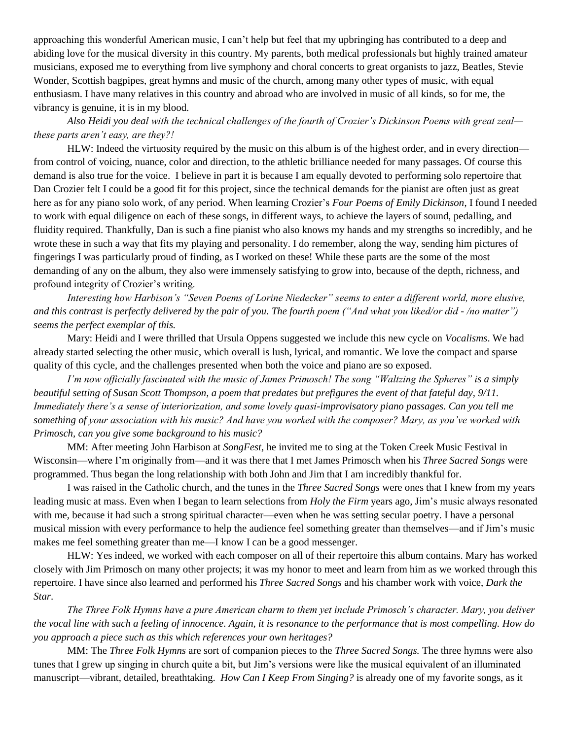approaching this wonderful American music, I can't help but feel that my upbringing has contributed to a deep and abiding love for the musical diversity in this country. My parents, both medical professionals but highly trained amateur musicians, exposed me to everything from live symphony and choral concerts to great organists to jazz, Beatles, Stevie Wonder, Scottish bagpipes, great hymns and music of the church, among many other types of music, with equal enthusiasm. I have many relatives in this country and abroad who are involved in music of all kinds, so for me, the vibrancy is genuine, it is in my blood.

*Also Heidi you deal with the technical challenges of the fourth of Crozier's Dickinson Poems with great zeal these parts aren't easy, are they?!*

HLW: Indeed the virtuosity required by the music on this album is of the highest order, and in every direction from control of voicing, nuance, color and direction, to the athletic brilliance needed for many passages. Of course this demand is also true for the voice. I believe in part it is because I am equally devoted to performing solo repertoire that Dan Crozier felt I could be a good fit for this project, since the technical demands for the pianist are often just as great here as for any piano solo work, of any period. When learning Crozier's *Four Poems of Emily Dickinson*, I found I needed to work with equal diligence on each of these songs, in different ways, to achieve the layers of sound, pedalling, and fluidity required. Thankfully, Dan is such a fine pianist who also knows my hands and my strengths so incredibly, and he wrote these in such a way that fits my playing and personality. I do remember, along the way, sending him pictures of fingerings I was particularly proud of finding, as I worked on these! While these parts are the some of the most demanding of any on the album, they also were immensely satisfying to grow into, because of the depth, richness, and profound integrity of Crozier's writing.

*Interesting how Harbison's "Seven Poems of Lorine Niedecker" seems to enter a different world, more elusive, and this contrast is perfectly delivered by the pair of you. The fourth poem ("And what you liked/or did - /no matter") seems the perfect exemplar of this.*

Mary: Heidi and I were thrilled that Ursula Oppens suggested we include this new cycle on *Vocalisms*. We had already started selecting the other music, which overall is lush, lyrical, and romantic. We love the compact and sparse quality of this cycle, and the challenges presented when both the voice and piano are so exposed.

*I'm now officially fascinated with the music of James Primosch! The song "Waltzing the Spheres" is a simply beautiful setting of Susan Scott Thompson, a poem that predates but prefigures the event of that fateful day, 9/11. Immediately there's a sense of interiorization, and some lovely quasi-improvisatory piano passages. Can you tell me something of your association with his music? And have you worked with the composer? Mary, as you've worked with Primosch, can you give some background to his music?*

MM: After meeting John Harbison at *SongFest*, he invited me to sing at the Token Creek Music Festival in Wisconsin—where I'm originally from—and it was there that I met James Primosch when his *Three Sacred Songs* were programmed. Thus began the long relationship with both John and Jim that I am incredibly thankful for.

I was raised in the Catholic church, and the tunes in the *Three Sacred Songs* were ones that I knew from my years leading music at mass. Even when I began to learn selections from *Holy the Firm* years ago*,* Jim's music always resonated with me, because it had such a strong spiritual character—even when he was setting secular poetry. I have a personal musical mission with every performance to help the audience feel something greater than themselves—and if Jim's music makes me feel something greater than me—I know I can be a good messenger.

HLW: Yes indeed, we worked with each composer on all of their repertoire this album contains. Mary has worked closely with Jim Primosch on many other projects; it was my honor to meet and learn from him as we worked through this repertoire. I have since also learned and performed his *Three Sacred Songs* and his chamber work with voice, *Dark the Star*.

*The Three Folk Hymns have a pure American charm to them yet include Primosch's character. Mary, you deliver the vocal line with such a feeling of innocence. Again, it is resonance to the performance that is most compelling. How do you approach a piece such as this which references your own heritages?*

MM: The *Three Folk Hymns* are sort of companion pieces to the *Three Sacred Songs.* The three hymns were also tunes that I grew up singing in church quite a bit, but Jim's versions were like the musical equivalent of an illuminated manuscript—vibrant, detailed, breathtaking. *How Can I Keep From Singing?* is already one of my favorite songs, as it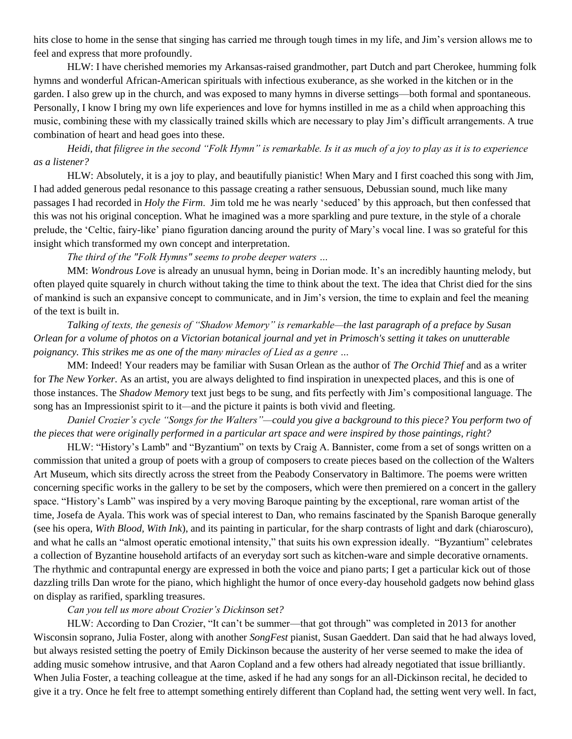hits close to home in the sense that singing has carried me through tough times in my life, and Jim's version allows me to feel and express that more profoundly.

HLW: I have cherished memories my Arkansas-raised grandmother, part Dutch and part Cherokee, humming folk hymns and wonderful African-American spirituals with infectious exuberance, as she worked in the kitchen or in the garden. I also grew up in the church, and was exposed to many hymns in diverse settings—both formal and spontaneous. Personally, I know I bring my own life experiences and love for hymns instilled in me as a child when approaching this music, combining these with my classically trained skills which are necessary to play Jim's difficult arrangements. A true combination of heart and head goes into these.

*Heidi, that filigree in the second "Folk Hymn" is remarkable. Is it as much of a joy to play as it is to experience as a listener?*

HLW: Absolutely, it is a joy to play, and beautifully pianistic! When Mary and I first coached this song with Jim, I had added generous pedal resonance to this passage creating a rather sensuous, Debussian sound, much like many passages I had recorded in *Holy the Firm*. Jim told me he was nearly 'seduced' by this approach, but then confessed that this was not his original conception. What he imagined was a more sparkling and pure texture, in the style of a chorale prelude, the 'Celtic, fairy-like' piano figuration dancing around the purity of Mary's vocal line. I was so grateful for this insight which transformed my own concept and interpretation.

*The third of the "Folk Hymns" seems to probe deeper waters …*

MM: *Wondrous Love* is already an unusual hymn, being in Dorian mode. It's an incredibly haunting melody, but often played quite squarely in church without taking the time to think about the text. The idea that Christ died for the sins of mankind is such an expansive concept to communicate, and in Jim's version, the time to explain and feel the meaning of the text is built in.

*Talking of texts, the genesis of "Shadow Memory" is remarkable—the last paragraph of a preface by Susan Orlean for a volume of photos on a Victorian botanical journal and yet in Primosch's setting it takes on unutterable poignancy. This strikes me as one of the many miracles of Lied as a genre …*

MM: Indeed! Your readers may be familiar with Susan Orlean as the author of *The Orchid Thief* and as a writer for *The New Yorker*. As an artist, you are always delighted to find inspiration in unexpected places, and this is one of those instances. The *Shadow Memory* text just begs to be sung, and fits perfectly with Jim's compositional language. The song has an Impressionist spirit to it*—*and the picture it paints is both vivid and fleeting.

*Daniel Crozier's cycle "Songs for the Walters"—could you give a background to this piece? You perform two of the pieces that were originally performed in a particular art space and were inspired by those paintings, right?*

HLW: "History's Lamb" and "Byzantium" on texts by Craig A. Bannister, come from a set of songs written on a commission that united a group of poets with a group of composers to create pieces based on the collection of the Walters Art Museum, which sits directly across the street from the Peabody Conservatory in Baltimore. The poems were written concerning specific works in the gallery to be set by the composers, which were then premiered on a concert in the gallery space. "History's Lamb" was inspired by a very moving Baroque painting by the exceptional, rare woman artist of the time, Josefa de Ayala. This work was of special interest to Dan, who remains fascinated by the Spanish Baroque generally (see his opera, *With Blood, With Ink*), and its painting in particular, for the sharp contrasts of light and dark (chiaroscuro), and what he calls an "almost operatic emotional intensity," that suits his own expression ideally. "Byzantium" celebrates a collection of Byzantine household artifacts of an everyday sort such as kitchen-ware and simple decorative ornaments. The rhythmic and contrapuntal energy are expressed in both the voice and piano parts; I get a particular kick out of those dazzling trills Dan wrote for the piano, which highlight the humor of once every-day household gadgets now behind glass on display as rarified, sparkling treasures.

#### *Can you tell us more about Crozier's Dickinson set?*

HLW: According to Dan Crozier, "It can't be summer—that got through" was completed in 2013 for another Wisconsin soprano, Julia Foster, along with another *SongFest* pianist, Susan Gaeddert. Dan said that he had always loved, but always resisted setting the poetry of Emily Dickinson because the austerity of her verse seemed to make the idea of adding music somehow intrusive, and that Aaron Copland and a few others had already negotiated that issue brilliantly. When Julia Foster, a teaching colleague at the time, asked if he had any songs for an all-Dickinson recital, he decided to give it a try. Once he felt free to attempt something entirely different than Copland had, the setting went very well. In fact,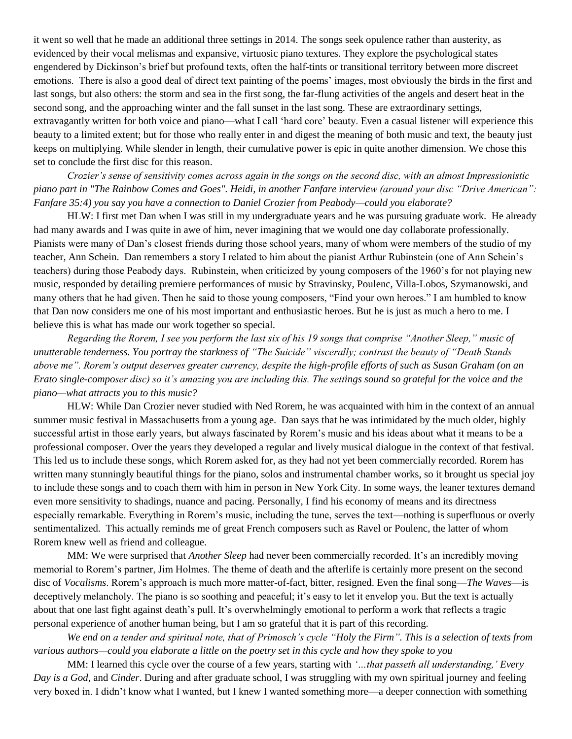it went so well that he made an additional three settings in 2014. The songs seek opulence rather than austerity, as evidenced by their vocal melismas and expansive, virtuosic piano textures. They explore the psychological states engendered by Dickinson's brief but profound texts, often the half-tints or transitional territory between more discreet emotions. There is also a good deal of direct text painting of the poems' images, most obviously the birds in the first and last songs, but also others: the storm and sea in the first song, the far-flung activities of the angels and desert heat in the second song, and the approaching winter and the fall sunset in the last song. These are extraordinary settings, extravagantly written for both voice and piano—what I call 'hard core' beauty. Even a casual listener will experience this beauty to a limited extent; but for those who really enter in and digest the meaning of both music and text, the beauty just keeps on multiplying. While slender in length, their cumulative power is epic in quite another dimension. We chose this set to conclude the first disc for this reason.

*Crozier's sense of sensitivity comes across again in the songs on the second disc, with an almost Impressionistic piano part in "The Rainbow Comes and Goes". Heidi, in another Fanfare interview (around your disc "Drive American": Fanfare 35:4) you say you have a connection to Daniel Crozier from Peabody—could you elaborate?* 

HLW: I first met Dan when I was still in my undergraduate years and he was pursuing graduate work. He already had many awards and I was quite in awe of him, never imagining that we would one day collaborate professionally. Pianists were many of Dan's closest friends during those school years, many of whom were members of the studio of my teacher, Ann Schein. Dan remembers a story I related to him about the pianist Arthur Rubinstein (one of Ann Schein's teachers) during those Peabody days. Rubinstein, when criticized by young composers of the 1960's for not playing new music, responded by detailing premiere performances of music by Stravinsky, Poulenc, Villa-Lobos, Szymanowski, and many others that he had given. Then he said to those young composers, "Find your own heroes." I am humbled to know that Dan now considers me one of his most important and enthusiastic heroes. But he is just as much a hero to me. I believe this is what has made our work together so special.

*Regarding the Rorem, I see you perform the last six of his 19 songs that comprise "Another Sleep," music of unutterable tenderness. You portray the starkness of "The Suicide" viscerally; contrast the beauty of "Death Stands above me". Rorem's output deserves greater currency, despite the high-profile efforts of such as Susan Graham (on an Erato single-composer disc) so it's amazing you are including this. The settings sound so grateful for the voice and the piano—what attracts you to this music?*

HLW: While Dan Crozier never studied with Ned Rorem, he was acquainted with him in the context of an annual summer music festival in Massachusetts from a young age. Dan says that he was intimidated by the much older, highly successful artist in those early years, but always fascinated by Rorem's music and his ideas about what it means to be a professional composer. Over the years they developed a regular and lively musical dialogue in the context of that festival. This led us to include these songs, which Rorem asked for, as they had not yet been commercially recorded. Rorem has written many stunningly beautiful things for the piano, solos and instrumental chamber works, so it brought us special joy to include these songs and to coach them with him in person in New York City. In some ways, the leaner textures demand even more sensitivity to shadings, nuance and pacing. Personally, I find his economy of means and its directness especially remarkable. Everything in Rorem's music, including the tune, serves the text—nothing is superfluous or overly sentimentalized. This actually reminds me of great French composers such as Ravel or Poulenc, the latter of whom Rorem knew well as friend and colleague.

MM: We were surprised that *Another Sleep* had never been commercially recorded. It's an incredibly moving memorial to Rorem's partner, Jim Holmes. The theme of death and the afterlife is certainly more present on the second disc of *Vocalisms*. Rorem's approach is much more matter-of-fact, bitter, resigned. Even the final song—*The Waves*—is deceptively melancholy. The piano is so soothing and peaceful; it's easy to let it envelop you. But the text is actually about that one last fight against death's pull. It's overwhelmingly emotional to perform a work that reflects a tragic personal experience of another human being, but I am so grateful that it is part of this recording.

*We end on a tender and spiritual note, that of Primosch's cycle "Holy the Firm". This is a selection of texts from various authors—could you elaborate a little on the poetry set in this cycle and how they spoke to you*

MM: I learned this cycle over the course of a few years, starting with *'…that passeth all understanding,' Every Day is a God,* and *Cinder*. During and after graduate school, I was struggling with my own spiritual journey and feeling very boxed in. I didn't know what I wanted, but I knew I wanted something more—a deeper connection with something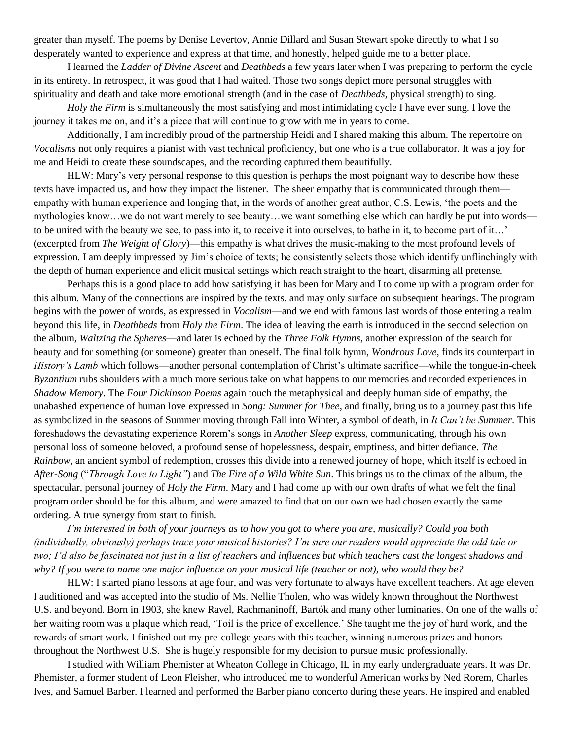greater than myself. The poems by Denise Levertov, Annie Dillard and Susan Stewart spoke directly to what I so desperately wanted to experience and express at that time, and honestly, helped guide me to a better place.

I learned the *Ladder of Divine Ascent* and *Deathbeds* a few years later when I was preparing to perform the cycle in its entirety. In retrospect, it was good that I had waited. Those two songs depict more personal struggles with spirituality and death and take more emotional strength (and in the case of *Deathbeds*, physical strength) to sing.

*Holy the Firm* is simultaneously the most satisfying and most intimidating cycle I have ever sung. I love the journey it takes me on, and it's a piece that will continue to grow with me in years to come.

Additionally, I am incredibly proud of the partnership Heidi and I shared making this album. The repertoire on *Vocalisms* not only requires a pianist with vast technical proficiency, but one who is a true collaborator. It was a joy for me and Heidi to create these soundscapes, and the recording captured them beautifully.

HLW: Mary's very personal response to this question is perhaps the most poignant way to describe how these texts have impacted us, and how they impact the listener. The sheer empathy that is communicated through them empathy with human experience and longing that, in the words of another great author, C.S. Lewis, 'the poets and the mythologies know…we do not want merely to see beauty…we want something else which can hardly be put into words to be united with the beauty we see, to pass into it, to receive it into ourselves, to bathe in it, to become part of it…' (excerpted from *The Weight of Glory*)—this empathy is what drives the music-making to the most profound levels of expression. I am deeply impressed by Jim's choice of texts; he consistently selects those which identify unflinchingly with the depth of human experience and elicit musical settings which reach straight to the heart, disarming all pretense.

Perhaps this is a good place to add how satisfying it has been for Mary and I to come up with a program order for this album. Many of the connections are inspired by the texts, and may only surface on subsequent hearings. The program begins with the power of words, as expressed in *Vocalism*—and we end with famous last words of those entering a realm beyond this life, in *Deathbeds* from *Holy the Firm*. The idea of leaving the earth is introduced in the second selection on the album, *Waltzing the Spheres*—and later is echoed by the *Three Folk Hymns*, another expression of the search for beauty and for something (or someone) greater than oneself. The final folk hymn, *Wondrous Love*, finds its counterpart in *History's Lamb* which follows—another personal contemplation of Christ's ultimate sacrifice—while the tongue-in-cheek *Byzantium* rubs shoulders with a much more serious take on what happens to our memories and recorded experiences in *Shadow Memory*. The *Four Dickinson Poems* again touch the metaphysical and deeply human side of empathy, the unabashed experience of human love expressed in *Song: Summer for Thee*, and finally, bring us to a journey past this life as symbolized in the seasons of Summer moving through Fall into Winter, a symbol of death, in *It Can't be Summer*. This foreshadows the devastating experience Rorem's songs in *Another Sleep* express, communicating, through his own personal loss of someone beloved, a profound sense of hopelessness, despair, emptiness, and bitter defiance. *The Rainbow*, an ancient symbol of redemption, crosses this divide into a renewed journey of hope, which itself is echoed in *After-Song* ("*Through Love to Light"*) and *The Fire of a Wild White Sun*. This brings us to the climax of the album, the spectacular, personal journey of *Holy the Firm*. Mary and I had come up with our own drafts of what we felt the final program order should be for this album, and were amazed to find that on our own we had chosen exactly the same ordering. A true synergy from start to finish.

*I'm interested in both of your journeys as to how you got to where you are, musically? Could you both (individually, obviously) perhaps trace your musical histories? I'm sure our readers would appreciate the odd tale or two; I'd also be fascinated not just in a list of teachers and influences but which teachers cast the longest shadows and why? If you were to name one major influence on your musical life (teacher or not), who would they be?*

HLW: I started piano lessons at age four, and was very fortunate to always have excellent teachers. At age eleven I auditioned and was accepted into the studio of Ms. Nellie Tholen, who was widely known throughout the Northwest U.S. and beyond. Born in 1903, she knew Ravel, Rachmaninoff, Bartók and many other luminaries. On one of the walls of her waiting room was a plaque which read, 'Toil is the price of excellence.' She taught me the joy of hard work, and the rewards of smart work. I finished out my pre-college years with this teacher, winning numerous prizes and honors throughout the Northwest U.S. She is hugely responsible for my decision to pursue music professionally.

I studied with William Phemister at Wheaton College in Chicago, IL in my early undergraduate years. It was Dr. Phemister, a former student of Leon Fleisher, who introduced me to wonderful American works by Ned Rorem, Charles Ives, and Samuel Barber. I learned and performed the Barber piano concerto during these years. He inspired and enabled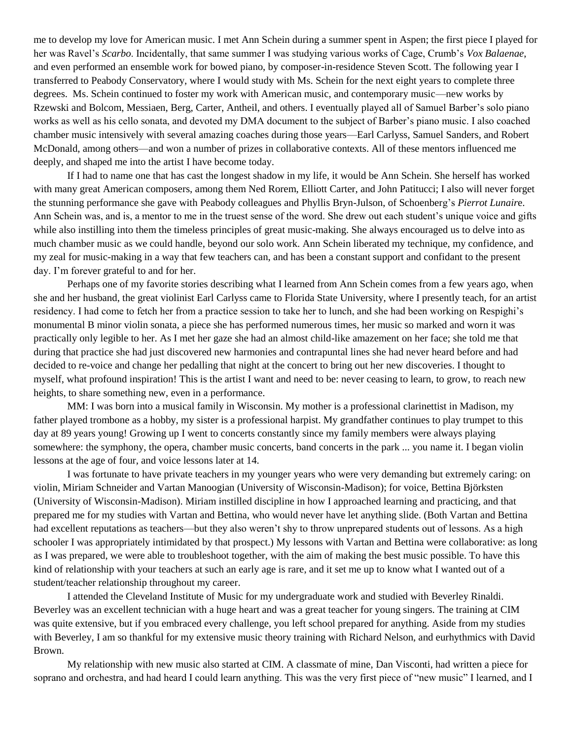me to develop my love for American music. I met Ann Schein during a summer spent in Aspen; the first piece I played for her was Ravel's *Scarbo*. Incidentally, that same summer I was studying various works of Cage, Crumb's *Vox Balaenae*, and even performed an ensemble work for bowed piano, by composer-in-residence Steven Scott. The following year I transferred to Peabody Conservatory, where I would study with Ms. Schein for the next eight years to complete three degrees. Ms. Schein continued to foster my work with American music, and contemporary music—new works by Rzewski and Bolcom, Messiaen, Berg, Carter, Antheil, and others. I eventually played all of Samuel Barber's solo piano works as well as his cello sonata, and devoted my DMA document to the subject of Barber's piano music. I also coached chamber music intensively with several amazing coaches during those years—Earl Carlyss, Samuel Sanders, and Robert McDonald, among others—and won a number of prizes in collaborative contexts. All of these mentors influenced me deeply, and shaped me into the artist I have become today.

If I had to name one that has cast the longest shadow in my life, it would be Ann Schein. She herself has worked with many great American composers, among them Ned Rorem, Elliott Carter, and John Patitucci; I also will never forget the stunning performance she gave with Peabody colleagues and Phyllis Bryn-Julson, of Schoenberg's *Pierrot Lunair*e. Ann Schein was, and is, a mentor to me in the truest sense of the word. She drew out each student's unique voice and gifts while also instilling into them the timeless principles of great music-making. She always encouraged us to delve into as much chamber music as we could handle, beyond our solo work. Ann Schein liberated my technique, my confidence, and my zeal for music-making in a way that few teachers can, and has been a constant support and confidant to the present day. I'm forever grateful to and for her.

Perhaps one of my favorite stories describing what I learned from Ann Schein comes from a few years ago, when she and her husband, the great violinist Earl Carlyss came to Florida State University, where I presently teach, for an artist residency. I had come to fetch her from a practice session to take her to lunch, and she had been working on Respighi's monumental B minor violin sonata, a piece she has performed numerous times, her music so marked and worn it was practically only legible to her. As I met her gaze she had an almost child-like amazement on her face; she told me that during that practice she had just discovered new harmonies and contrapuntal lines she had never heard before and had decided to re-voice and change her pedalling that night at the concert to bring out her new discoveries. I thought to myself, what profound inspiration! This is the artist I want and need to be: never ceasing to learn, to grow, to reach new heights, to share something new, even in a performance.

MM: I was born into a musical family in Wisconsin. My mother is a professional clarinettist in Madison, my father played trombone as a hobby, my sister is a professional harpist. My grandfather continues to play trumpet to this day at 89 years young! Growing up I went to concerts constantly since my family members were always playing somewhere: the symphony, the opera, chamber music concerts, band concerts in the park ... you name it. I began violin lessons at the age of four, and voice lessons later at 14.

I was fortunate to have private teachers in my younger years who were very demanding but extremely caring: on violin, Miriam Schneider and Vartan Manoogian (University of Wisconsin-Madison); for voice, Bettina Björksten (University of Wisconsin-Madison). Miriam instilled discipline in how I approached learning and practicing, and that prepared me for my studies with Vartan and Bettina, who would never have let anything slide. (Both Vartan and Bettina had excellent reputations as teachers—but they also weren't shy to throw unprepared students out of lessons. As a high schooler I was appropriately intimidated by that prospect.) My lessons with Vartan and Bettina were collaborative: as long as I was prepared, we were able to troubleshoot together, with the aim of making the best music possible. To have this kind of relationship with your teachers at such an early age is rare, and it set me up to know what I wanted out of a student/teacher relationship throughout my career.

I attended the Cleveland Institute of Music for my undergraduate work and studied with Beverley Rinaldi. Beverley was an excellent technician with a huge heart and was a great teacher for young singers. The training at CIM was quite extensive, but if you embraced every challenge, you left school prepared for anything. Aside from my studies with Beverley, I am so thankful for my extensive music theory training with Richard Nelson, and eurhythmics with David Brown.

My relationship with new music also started at CIM. A classmate of mine, Dan Visconti, had written a piece for soprano and orchestra, and had heard I could learn anything. This was the very first piece of "new music" I learned, and I